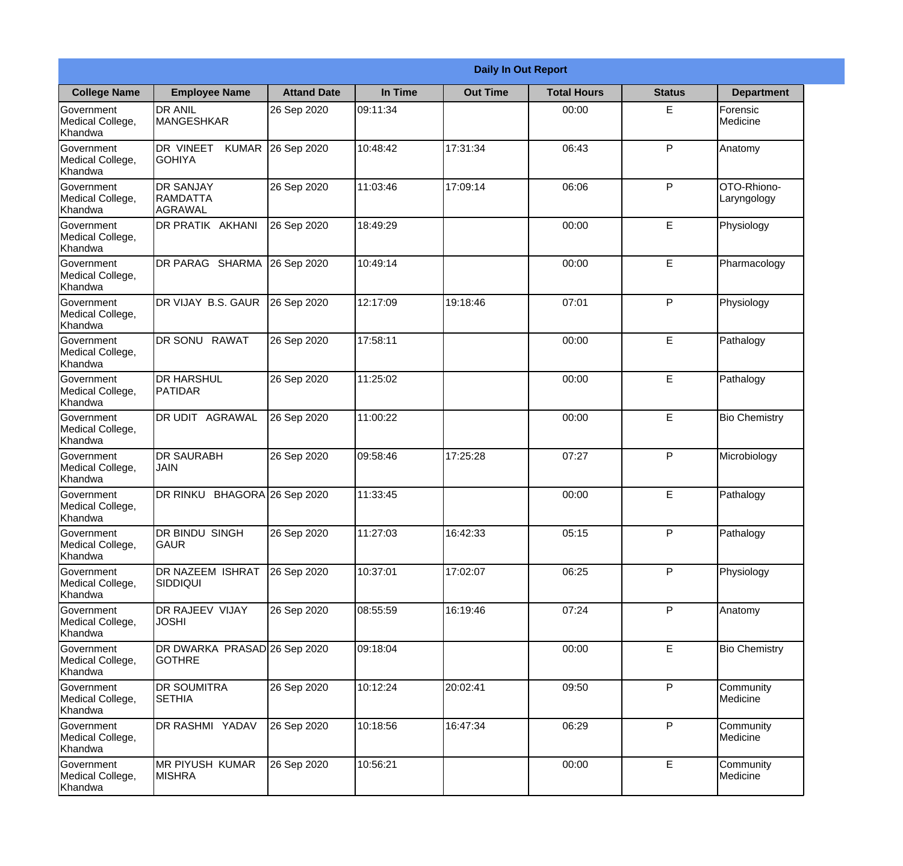|                                                  | <b>Daily In Out Report</b>                      |                     |          |                 |                    |               |                            |  |  |
|--------------------------------------------------|-------------------------------------------------|---------------------|----------|-----------------|--------------------|---------------|----------------------------|--|--|
| <b>College Name</b>                              | <b>Employee Name</b>                            | <b>Attand Date</b>  | In Time  | <b>Out Time</b> | <b>Total Hours</b> | <b>Status</b> | <b>Department</b>          |  |  |
| Government<br>Medical College,<br>Khandwa        | <b>DR ANIL</b><br><b>MANGESHKAR</b>             | 26 Sep 2020         | 09:11:34 |                 | 00:00              | E.            | Forensic<br>Medicine       |  |  |
| Government<br>Medical College,<br>Khandwa        | DR VINEET<br><b>KUMAR</b><br><b>GOHIYA</b>      | 26 Sep 2020         | 10:48:42 | 17:31:34        | 06:43              | P             | Anatomy                    |  |  |
| <b>Government</b><br>Medical College,<br>Khandwa | <b>IDR SANJAY</b><br><b>RAMDATTA</b><br>AGRAWAL | 26 Sep 2020         | 11:03:46 | 17:09:14        | 06:06              | P             | OTO-Rhiono-<br>Laryngology |  |  |
| Government<br>Medical College,<br>Khandwa        | DR PRATIK AKHANI                                | 26 Sep 2020         | 18:49:29 |                 | 00:00              | E             | Physiology                 |  |  |
| Government<br>Medical College,<br>Khandwa        | DR PARAG SHARMA                                 | 26 Sep 2020         | 10:49:14 |                 | 00:00              | E             | Pharmacology               |  |  |
| Government<br>Medical College,<br>Khandwa        | DR VIJAY B.S. GAUR                              | 26 Sep 2020         | 12:17:09 | 19:18:46        | 07:01              | P             | Physiology                 |  |  |
| Government<br>Medical College,<br>Khandwa        | DR SONU RAWAT                                   | 26 Sep 2020         | 17:58:11 |                 | 00:00              | E             | Pathalogy                  |  |  |
| <b>Government</b><br>Medical College,<br>Khandwa | <b>DR HARSHUL</b><br>PATIDAR                    | 26 Sep 2020         | 11:25:02 |                 | 00:00              | E             | Pathalogy                  |  |  |
| Government<br>Medical College,<br>Khandwa        | <b>DR UDIT AGRAWAL</b>                          | 26 Sep 2020         | 11:00:22 |                 | 00:00              | E             | <b>Bio Chemistry</b>       |  |  |
| Government<br>Medical College,<br>Khandwa        | <b>DR SAURABH</b><br><b>JAIN</b>                | 26 Sep 2020         | 09:58:46 | 17:25:28        | 07:27              | P             | Microbiology               |  |  |
| Government<br>Medical College,<br>Khandwa        | DR RINKU                                        | BHAGORA 26 Sep 2020 | 11:33:45 |                 | 00:00              | E             | Pathalogy                  |  |  |
| Government<br>Medical College,<br>Khandwa        | DR BINDU SINGH<br><b>GAUR</b>                   | 26 Sep 2020         | 11:27:03 | 16:42:33        | 05:15              | P             | Pathalogy                  |  |  |
| Government<br>Medical College,<br>Khandwa        | <b>DR NAZEEM ISHRAT</b><br>SIDDIQUI             | 26 Sep 2020         | 10:37:01 | 17:02:07        | 06:25              | P             | Physiology                 |  |  |
| Government<br>Medical College,<br>Khandwa        | <b>DR RAJEEV VIJAY</b><br><b>JOSHI</b>          | 26 Sep 2020         | 08:55:59 | 16:19:46        | 07:24              | P             | Anatomy                    |  |  |
| Government<br>Medical College,<br>Khandwa        | DR DWARKA PRASAD 26 Sep 2020<br><b>GOTHRE</b>   |                     | 09:18:04 |                 | 00:00              | E             | <b>Bio Chemistry</b>       |  |  |
| Government<br>Medical College,<br>Khandwa        | <b>DR SOUMITRA</b><br><b>SETHIA</b>             | 26 Sep 2020         | 10:12:24 | 20:02:41        | 09:50              | P             | Community<br>Medicine      |  |  |
| Government<br>Medical College,<br>Khandwa        | DR RASHMI YADAV                                 | 26 Sep 2020         | 10:18:56 | 16:47:34        | 06:29              | P             | Community<br>Medicine      |  |  |
| Government<br>Medical College,<br>Khandwa        | <b>MR PIYUSH KUMAR</b><br><b>MISHRA</b>         | 26 Sep 2020         | 10:56:21 |                 | 00:00              | E             | Community<br>Medicine      |  |  |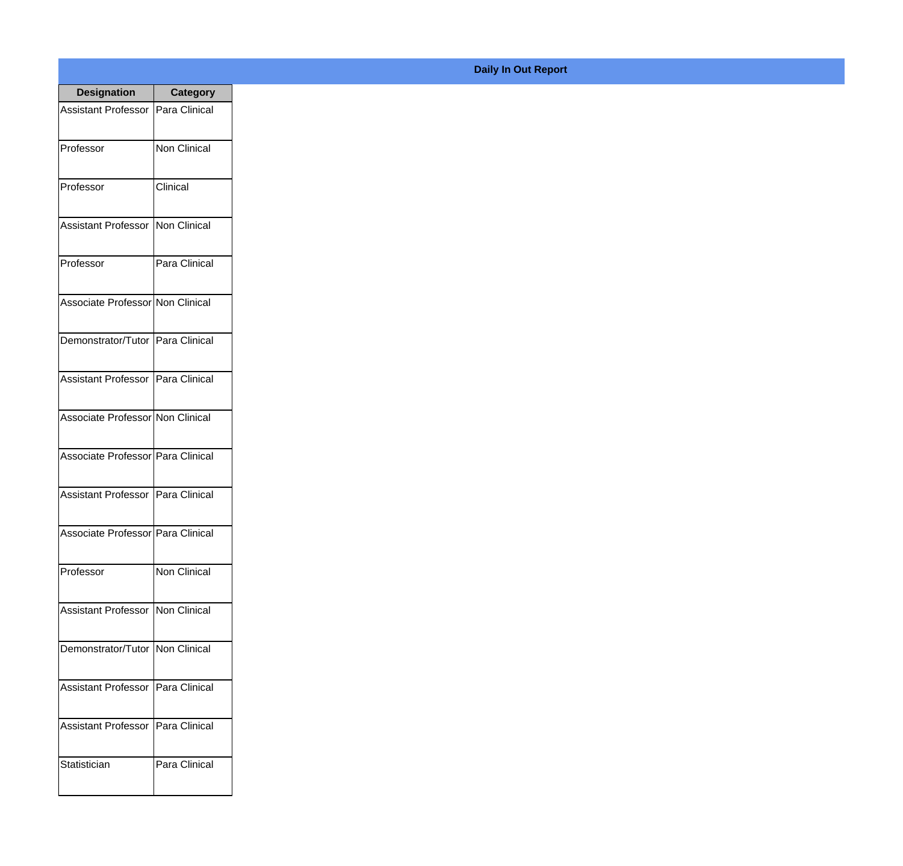| <b>Designation</b>                  | <b>Category</b>     |
|-------------------------------------|---------------------|
| Assistant Professor   Para Clinical |                     |
| Professor                           | <b>Non Clinical</b> |
| Professor                           | Clinical            |
| Assistant Professor                 | Non Clinical        |
| Professor                           | Para Clinical       |
| Associate Professor Non Clinical    |                     |
| Demonstrator/Tutor   Para Clinical  |                     |
| Assistant Professor   Para Clinical |                     |
| Associate Professor Non Clinical    |                     |
| Associate Professor   Para Clinical |                     |
| Assistant Professor   Para Clinical |                     |
| Associate Professor Para Clinical   |                     |
| Professor                           | <b>Non Clinical</b> |
| <b>Assistant Professor</b>          | Non Clinical        |
| Demonstrator/Tutor   Non Clinical   |                     |
| <b>Assistant Professor</b>          | Para Clinical       |
| <b>Assistant Professor</b>          | Para Clinical       |
| Statistician                        | Para Clinical       |

## **Daily In Out Report**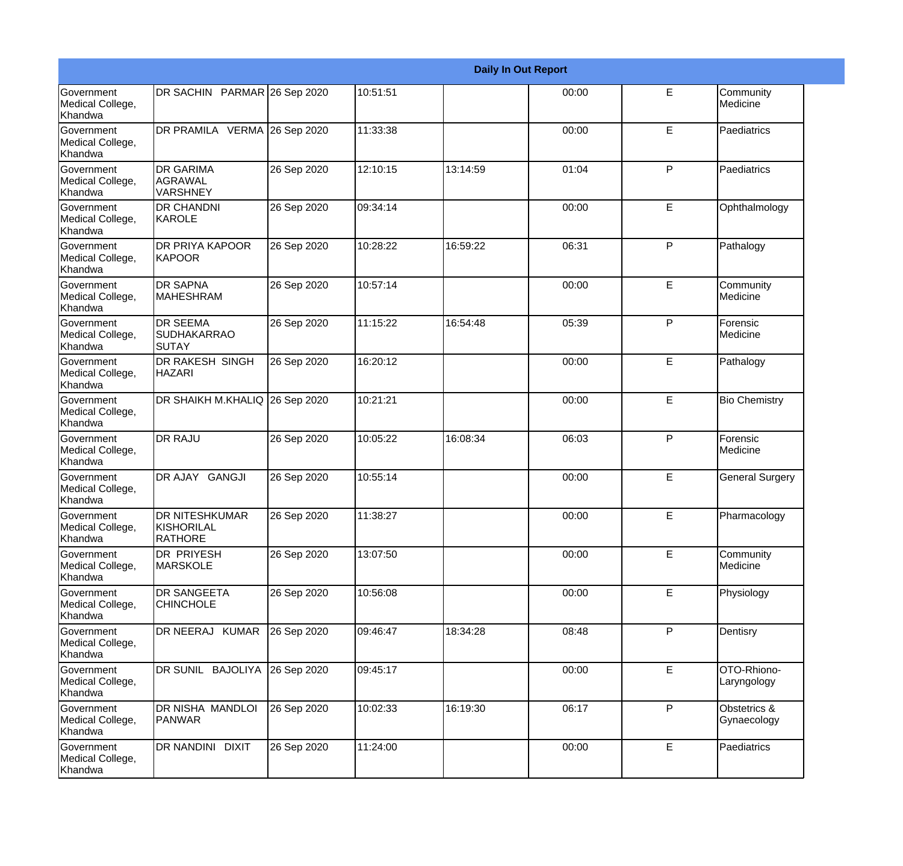|                                                  | <b>Daily In Out Report</b>                            |             |          |          |       |   |                             |  |
|--------------------------------------------------|-------------------------------------------------------|-------------|----------|----------|-------|---|-----------------------------|--|
| <b>Government</b><br>Medical College,<br>Khandwa | DR SACHIN PARMAR 26 Sep 2020                          |             | 10:51:51 |          | 00:00 | E | Community<br>Medicine       |  |
| <b>Government</b><br>Medical College,<br>Khandwa | DR PRAMILA VERMA 26 Sep 2020                          |             | 11:33:38 |          | 00:00 | E | Paediatrics                 |  |
| <b>Government</b><br>Medical College,<br>Khandwa | <b>DR GARIMA</b><br>AGRAWAL<br>VARSHNEY               | 26 Sep 2020 | 12:10:15 | 13:14:59 | 01:04 | P | Paediatrics                 |  |
| <b>Government</b><br>Medical College,<br>Khandwa | <b>DR CHANDNI</b><br>KAROLE                           | 26 Sep 2020 | 09:34:14 |          | 00:00 | E | Ophthalmology               |  |
| Government<br>Medical College,<br>Khandwa        | DR PRIYA KAPOOR<br>KAPOOR                             | 26 Sep 2020 | 10:28:22 | 16:59:22 | 06:31 | P | Pathalogy                   |  |
| Government<br>Medical College,<br>Khandwa        | <b>DR SAPNA</b><br><b>MAHESHRAM</b>                   | 26 Sep 2020 | 10:57:14 |          | 00:00 | E | Community<br>Medicine       |  |
| Government<br>Medical College,<br>Khandwa        | <b>DR SEEMA</b><br>SUDHAKARRAO<br><b>SUTAY</b>        | 26 Sep 2020 | 11:15:22 | 16:54:48 | 05:39 | P | Forensic<br>Medicine        |  |
| Government<br>Medical College,<br>Khandwa        | DR RAKESH SINGH<br><b>HAZARI</b>                      | 26 Sep 2020 | 16:20:12 |          | 00:00 | E | Pathalogy                   |  |
| Government<br>Medical College,<br>Khandwa        | DR SHAIKH M.KHALIQ 26 Sep 2020                        |             | 10:21:21 |          | 00:00 | E | <b>Bio Chemistry</b>        |  |
| <b>Government</b><br>Medical College,<br>Khandwa | <b>DR RAJU</b>                                        | 26 Sep 2020 | 10:05:22 | 16:08:34 | 06:03 | P | Forensic<br>Medicine        |  |
| <b>Government</b><br>Medical College,<br>Khandwa | DR AJAY GANGJI                                        | 26 Sep 2020 | 10:55:14 |          | 00:00 | E | <b>General Surgery</b>      |  |
| Government<br>Medical College,<br>Khandwa        | <b>DR NITESHKUMAR</b><br>KISHORILAL<br><b>RATHORE</b> | 26 Sep 2020 | 11:38:27 |          | 00:00 | E | Pharmacology                |  |
| <b>Government</b><br>Medical College,<br>Khandwa | <b>DR PRIYESH</b><br><b>MARSKOLE</b>                  | 26 Sep 2020 | 13:07:50 |          | 00:00 | E | Community<br>Medicine       |  |
| Government<br>Medical College,<br>Khandwa        | <b>DR SANGEETA</b><br><b>CHINCHOLE</b>                | 26 Sep 2020 | 10:56:08 |          | 00:00 | E | Physiology                  |  |
| Government<br>Medical College,<br>Khandwa        | DR NEERAJ KUMAR                                       | 26 Sep 2020 | 09:46:47 | 18:34:28 | 08:48 | P | Dentisry                    |  |
| Government<br>Medical College,<br>Khandwa        | DR SUNIL BAJOLIYA                                     | 26 Sep 2020 | 09:45:17 |          | 00:00 | E | OTO-Rhiono-<br>Laryngology  |  |
| Government<br>Medical College,<br>Khandwa        | DR NISHA MANDLOI<br>PANWAR                            | 26 Sep 2020 | 10:02:33 | 16:19:30 | 06:17 | P | Obstetrics &<br>Gynaecology |  |
| Government<br>Medical College,<br>Khandwa        | DR NANDINI DIXIT                                      | 26 Sep 2020 | 11:24:00 |          | 00:00 | E | Paediatrics                 |  |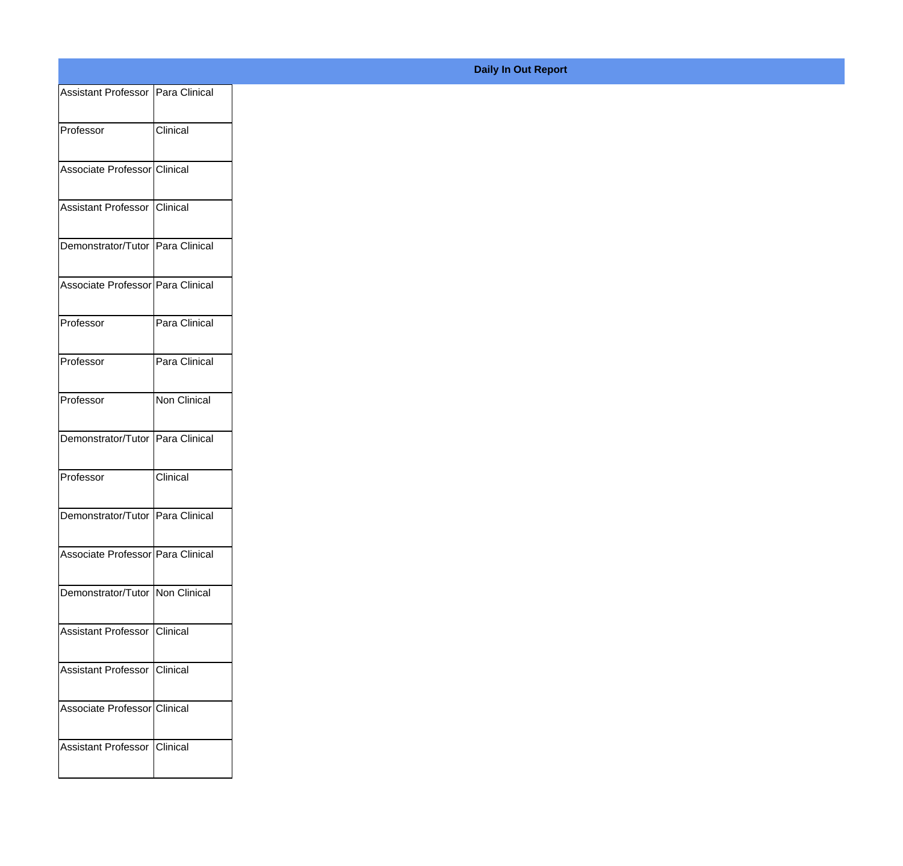| Assistant Professor Para Clinical |                 |
|-----------------------------------|-----------------|
| Professor                         | <b>Clinical</b> |
|                                   |                 |
| Associate Professor Clinical      |                 |
| Assistant Professor Clinical      |                 |
| Demonstrator/Tutor Para Clinical  |                 |
| Associate Professor Para Clinical |                 |
| Professor                         | Para Clinical   |
| Professor                         | Para Clinical   |
|                                   |                 |
| Professor                         | Non Clinical    |
| Demonstrator/Tutor Para Clinical  |                 |
| Professor                         | Clinical        |
| Demonstrator/Tutor Para Clinical  |                 |
| Associate Professor Para Clinical |                 |
| Demonstrator/Tutor Non Clinical   |                 |
|                                   |                 |
| Assistant Professor Clinical      |                 |
| Assistant Professor Clinical      |                 |
| Associate Professor Clinical      |                 |
| Assistant Professor Clinical      |                 |
|                                   |                 |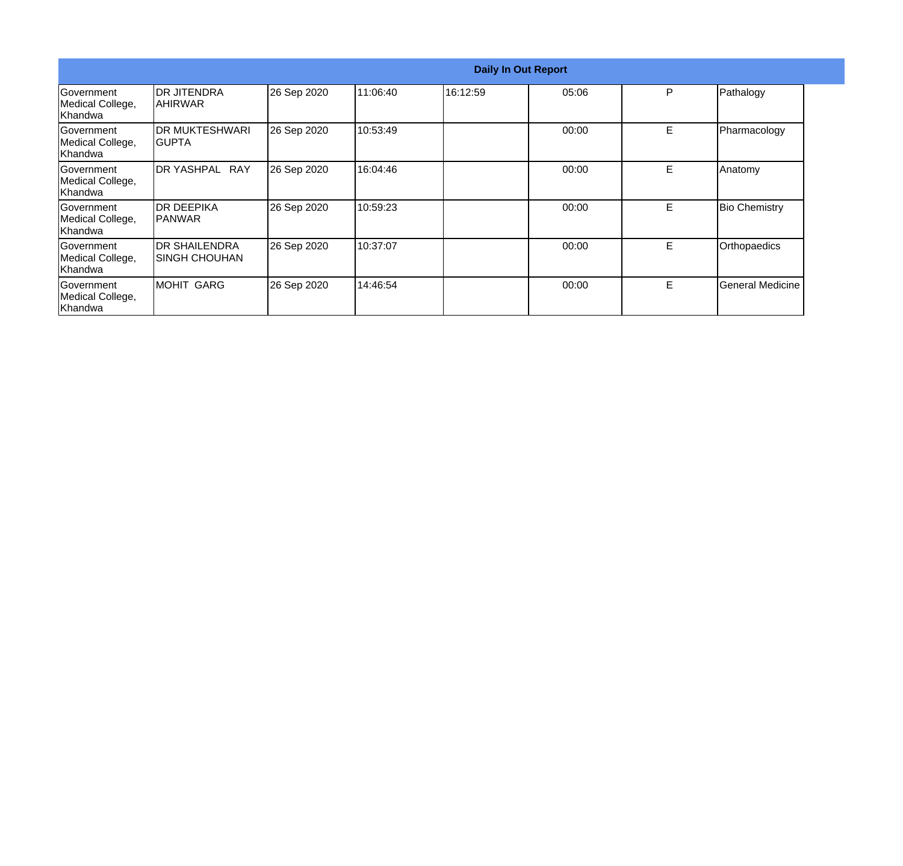|                                                  |                                         | <b>Daily In Out Report</b> |          |          |       |    |                      |  |
|--------------------------------------------------|-----------------------------------------|----------------------------|----------|----------|-------|----|----------------------|--|
| <b>Government</b><br>Medical College,<br>Khandwa | IDR JITENDRA<br> AHIRWAR                | 26 Sep 2020                | 11:06:40 | 16:12:59 | 05:06 | P  | Pathalogy            |  |
| Government<br>Medical College,<br>Khandwa        | IDR MUKTESHWARI<br>IGUPTA               | 26 Sep 2020                | 10:53:49 |          | 00:00 | E. | Pharmacology         |  |
| Government<br>Medical College,<br>Khandwa        | <b>I</b> DR YASHPAL<br><b>RAY</b>       | 26 Sep 2020                | 16:04:46 |          | 00:00 | E  | Anatomy              |  |
| Government<br>Medical College,<br>Khandwa        | IDR DEEPIKA<br>IPANWAR                  | 26 Sep 2020                | 10:59:23 |          | 00:00 | E  | <b>Bio Chemistry</b> |  |
| Government<br>Medical College,<br>Khandwa        | <b>IDR SHAILENDRA</b><br>ISINGH CHOUHAN | 26 Sep 2020                | 10:37:07 |          | 00:00 | E  | Orthopaedics         |  |
| <b>Sovernment</b><br>Medical College,<br>Khandwa | MOHIT GARG                              | 26 Sep 2020                | 14:46:54 |          | 00:00 | E  | General Medicine     |  |